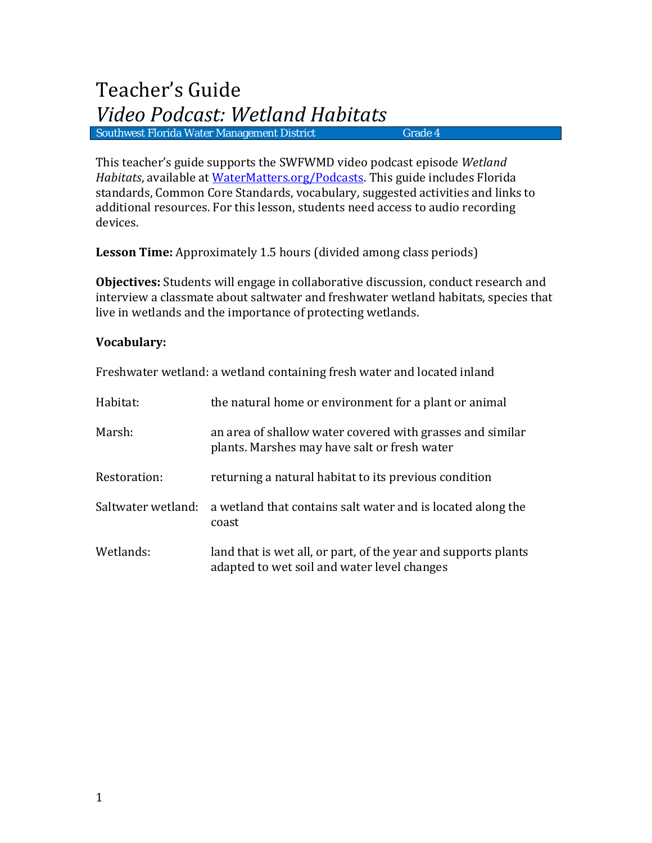This teacher's guide supports the SWFWMD video podcast episode *Wetland Habitats*, available at [WaterMatters.org/Podcasts.](http://www.swfwmd.state.fl.us/education/podcasts/) This guide includes Florida standards, Common Core Standards, vocabulary, suggested activities and links to additional resources. For this lesson, students need access to audio recording devices.

**Lesson Time:** Approximately 1.5 hours (divided among class periods)

**Objectives:** Students will engage in collaborative discussion, conduct research and interview a classmate about saltwater and freshwater wetland habitats, species that live in wetlands and the importance of protecting wetlands.

### **Vocabulary:**

| TTC51IWACCI_WCGanu. a WCGanu Contanning ii C51I_WACCI_anu locatcu iinanu |                                                                                                               |
|--------------------------------------------------------------------------|---------------------------------------------------------------------------------------------------------------|
| Habitat:                                                                 | the natural home or environment for a plant or animal                                                         |
| Marsh:                                                                   | an area of shallow water covered with grasses and similar<br>plants. Marshes may have salt or fresh water     |
| Restoration:                                                             | returning a natural habitat to its previous condition                                                         |
| Saltwater wetland:                                                       | a wetland that contains salt water and is located along the<br>coast                                          |
| Wetlands:                                                                | land that is wet all, or part, of the year and supports plants<br>adapted to wet soil and water level changes |

Freshwater wetland: a wetland containing fresh water and located inland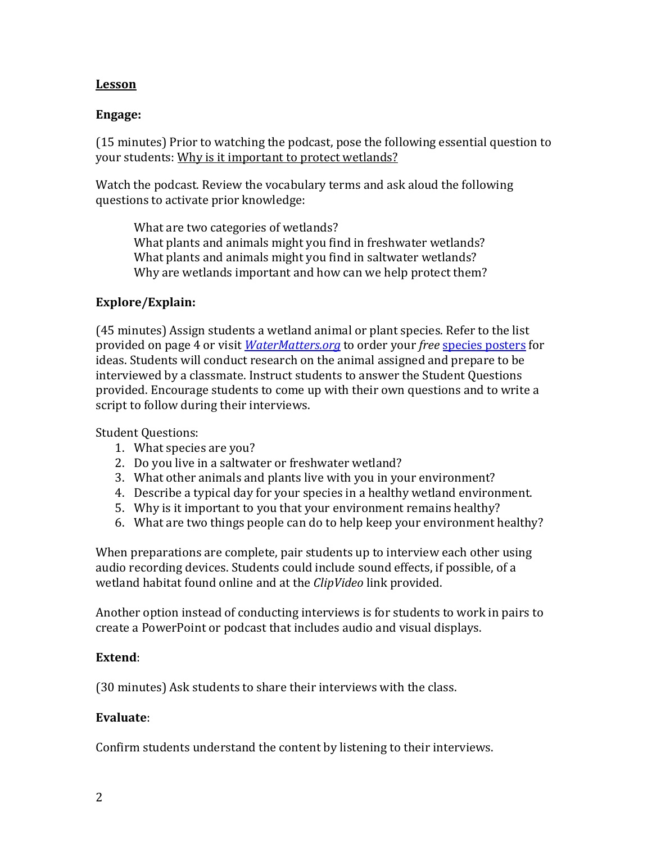## **Lesson**

## **Engage:**

(15 minutes) Prior to watching the podcast, pose the following essential question to your students: Why is it important to protect wetlands?

Watch the podcast. Review the vocabulary terms and ask aloud the following questions to activate prior knowledge:

What are two categories of wetlands? What plants and animals might you find in freshwater wetlands? What plants and animals might you find in saltwater wetlands? Why are wetlands important and how can we help protect them?

## **Explore/Explain:**

(45 minutes) Assign students a wetland animal or plant species. Refer to the list provided on page 4 or visit *[WaterMatters.org](http://www.swfwmd.state.fl.us/)* to order your *free* [species posters](http://www.swfwmd.state.fl.us/publications/search.php?query=poster&submit=Search) for ideas. Students will conduct research on the animal assigned and prepare to be interviewed by a classmate. Instruct students to answer the Student Questions provided. Encourage students to come up with their own questions and to write a script to follow during their interviews.

Student Questions:

- 1. What species are you?
- 2. Do you live in a saltwater or freshwater wetland?
- 3. What other animals and plants live with you in your environment?
- 4. Describe a typical day for your species in a healthy wetland environment.
- 5. Why is it important to you that your environment remains healthy?
- 6. What are two things people can do to help keep your environment healthy?

When preparations are complete, pair students up to interview each other using audio recording devices. Students could include sound effects, if possible, of a wetland habitat found online and at the *ClipVideo* link provided.

Another option instead of conducting interviews is for students to work in pairs to create a PowerPoint or podcast that includes audio and visual displays.

### **Extend**:

(30 minutes) Ask students to share their interviews with the class.

### **Evaluate**:

Confirm students understand the content by listening to their interviews.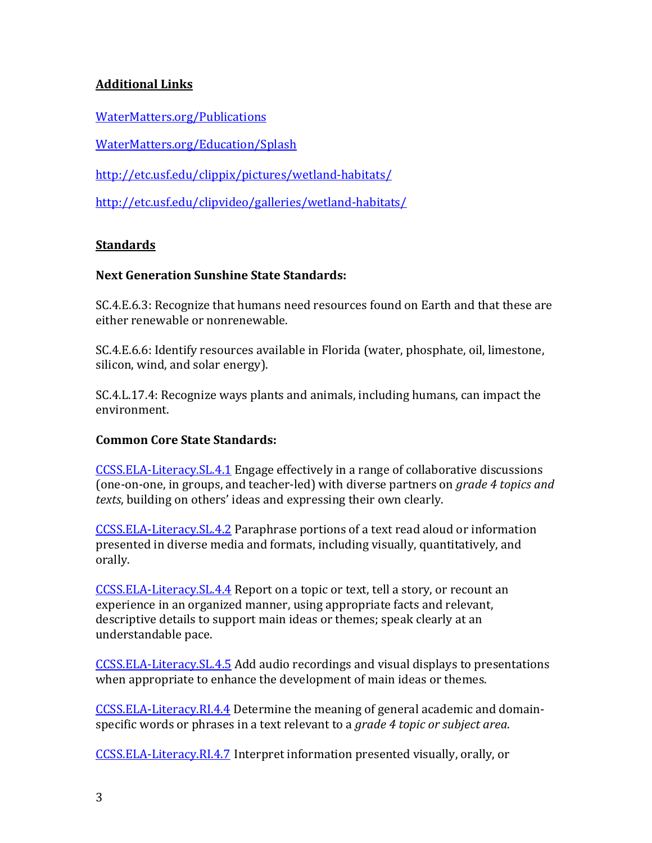# **Additional Links**

[WaterMatters.org/Publications](http://www.swfwmd.state.fl.us/publications/type/all)

[WaterMatters.org/Education/Splash](http://www.swfwmd.state.fl.us/education/splash/wetland_foryour_thoughts.html)

<http://etc.usf.edu/clippix/pictures/wetland-habitats/>

<http://etc.usf.edu/clipvideo/galleries/wetland-habitats/>

## **Standards**

## **Next Generation Sunshine State Standards:**

SC.4.E.6.3: Recognize that humans need resources found on Earth and that these are either renewable or nonrenewable.

SC.4.E.6.6: Identify resources available in Florida (water, phosphate, oil, limestone, silicon, wind, and solar energy).

SC.4.L.17.4: Recognize ways plants and animals, including humans, can impact the environment.

### **Common Core State Standards:**

[CCSS.ELA-Literacy.SL.4.1](http://www.corestandards.org/ELA-Literacy/SL/4/1/) Engage effectively in a range of collaborative discussions (one-on-one, in groups, and teacher-led) with diverse partners on *grade 4 topics and texts*, building on others' ideas and expressing their own clearly.

[CCSS.ELA-Literacy.SL.4.2](http://www.corestandards.org/ELA-Literacy/SL/4/2/) Paraphrase portions of a text read aloud or information presented in diverse media and formats, including visually, quantitatively, and orally.

[CCSS.ELA-Literacy.SL.4.4](http://www.corestandards.org/ELA-Literacy/SL/4/4/) Report on a topic or text, tell a story, or recount an experience in an organized manner, using appropriate facts and relevant, descriptive details to support main ideas or themes; speak clearly at an understandable pace.

[CCSS.ELA-Literacy.SL.4.5](http://www.corestandards.org/ELA-Literacy/SL/4/5/) Add audio recordings and visual displays to presentations when appropriate to enhance the development of main ideas or themes.

[CCSS.ELA-Literacy.RI.4.4](http://www.corestandards.org/ELA-Literacy/RI/4/4/) Determine the meaning of general academic and domainspecific words or phrases in a text relevant to a *grade 4 topic or subject area*.

[CCSS.ELA-Literacy.RI.4.7](http://www.corestandards.org/ELA-Literacy/RI/4/7/) Interpret information presented visually, orally, or